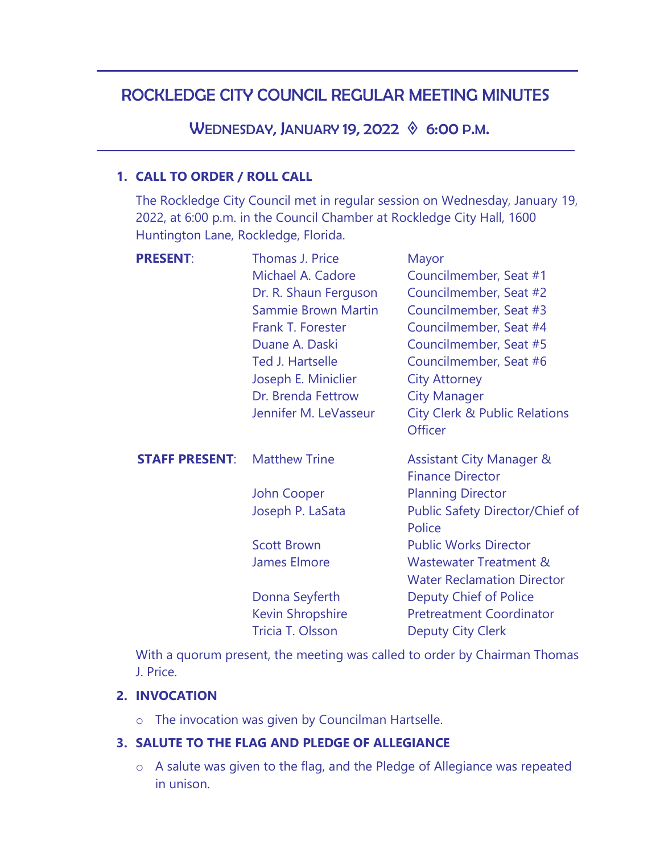# ROCKLEDGE CITY COUNCIL REGULAR MEETING MINUTES

WEDNESDAY, JANUARY 19, 2022  $\Diamond$  6:00 P.M.

# **1. CALL TO ORDER / ROLL CALL**

The Rockledge City Council met in regular session on Wednesday, January 19, 2022, at 6:00 p.m. in the Council Chamber at Rockledge City Hall, 1600 Huntington Lane, Rockledge, Florida.

| <b>PRESENT:</b><br>Thomas J. Price<br>Mayor                                          |
|--------------------------------------------------------------------------------------|
| Michael A. Cadore<br>Councilmember, Seat #1                                          |
| Councilmember, Seat #2<br>Dr. R. Shaun Ferguson                                      |
| <b>Sammie Brown Martin</b><br>Councilmember, Seat #3                                 |
| Frank T. Forester<br>Councilmember, Seat #4                                          |
| Duane A. Daski<br>Councilmember, Seat #5                                             |
| Ted J. Hartselle<br>Councilmember, Seat #6                                           |
| Joseph E. Miniclier<br><b>City Attorney</b>                                          |
| Dr. Brenda Fettrow<br><b>City Manager</b>                                            |
| Jennifer M. LeVasseur<br><b>City Clerk &amp; Public Relations</b>                    |
| <b>Officer</b>                                                                       |
| <b>Matthew Trine</b><br><b>STAFF PRESENT:</b><br><b>Assistant City Manager &amp;</b> |
| <b>Finance Director</b>                                                              |
| <b>Planning Director</b><br><b>John Cooper</b>                                       |
| Public Safety Director/Chief of<br>Joseph P. LaSata<br>Police                        |
| <b>Scott Brown</b><br><b>Public Works Director</b>                                   |
| <b>James Elmore</b><br>Wastewater Treatment &                                        |
| <b>Water Reclamation Director</b>                                                    |
| Donna Seyferth<br><b>Deputy Chief of Police</b>                                      |
|                                                                                      |
| <b>Kevin Shropshire</b><br><b>Pretreatment Coordinator</b>                           |

With a quorum present, the meeting was called to order by Chairman Thomas J. Price.

# **2. INVOCATION**

o The invocation was given by Councilman Hartselle.

# **3. SALUTE TO THE FLAG AND PLEDGE OF ALLEGIANCE**

o A salute was given to the flag, and the Pledge of Allegiance was repeated in unison.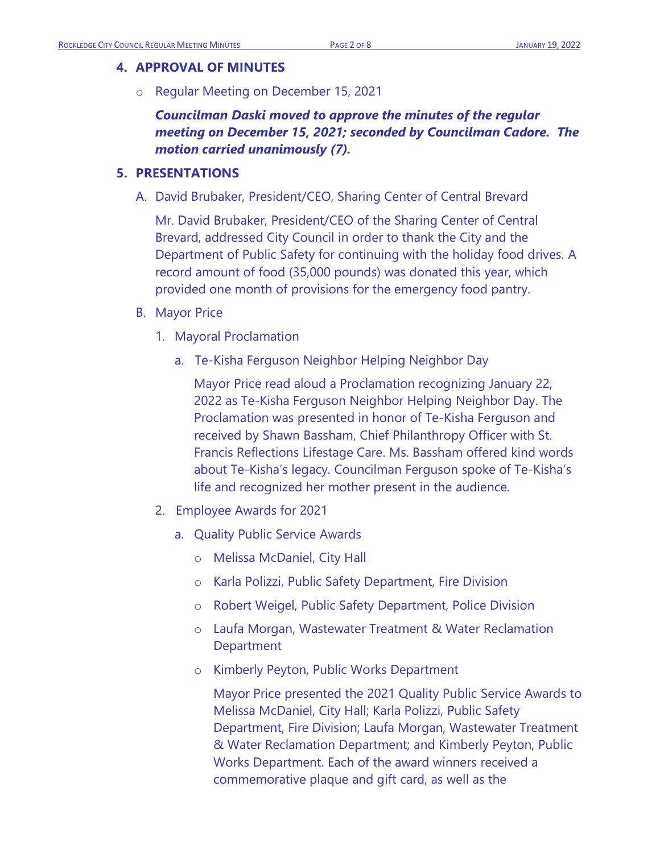### **4. APPROVAL OF MINUTES**

o Regular Meeting on December 15, 2021

*Councilman Daski moved to approve the minutes of the regular meeting on December 15, 2021; seconded by Councilman Cadore. The motion carried unanimously (7).*

### **5. PRESENTATIONS**

A. David Brubaker, President/CEO, Sharing Center of Central Brevard

Mr. David Brubaker, President/CEO of the Sharing Center of Central Brevard, addressed City Council in order to thank the City and the Department of Public Safety for continuing with the holiday food drives. A record amount of food (35,000 pounds) was donated this year, which provided one month of provisions for the emergency food pantry.

- B. Mayor Price
	- 1. Mayoral Proclamation
		- a. Te-Kisha Ferguson Neighbor Helping Neighbor Day

Mayor Price read aloud a Proclamation recognizing January 22, 2022 as Te-Kisha Ferguson Neighbor Helping Neighbor Day. The Proclamation was presented in honor of Te-Kisha Ferguson and received by Shawn Bassham, Chief Philanthropy Officer with St. Francis Reflections Lifestage Care. Ms. Bassham offered kind words about Te-Kisha's legacy. Councilman Ferguson spoke of Te-Kisha's life and recognized her mother present in the audience.

- 2. Employee Awards for 2021
	- a. Quality Public Service Awards
		- o Melissa McDaniel, City Hall
		- o Karla Polizzi, Public Safety Department, Fire Division
		- o Robert Weigel, Public Safety Department, Police Division
		- o Laufa Morgan, Wastewater Treatment & Water Reclamation **Department**
		- o Kimberly Peyton, Public Works Department

Mayor Price presented the 2021 Quality Public Service Awards to Melissa McDaniel, City Hall; Karla Polizzi, Public Safety Department, Fire Division; Laufa Morgan, Wastewater Treatment & Water Reclamation Department; and Kimberly Peyton, Public Works Department. Each of the award winners received a commemorative plaque and gift card, as well as the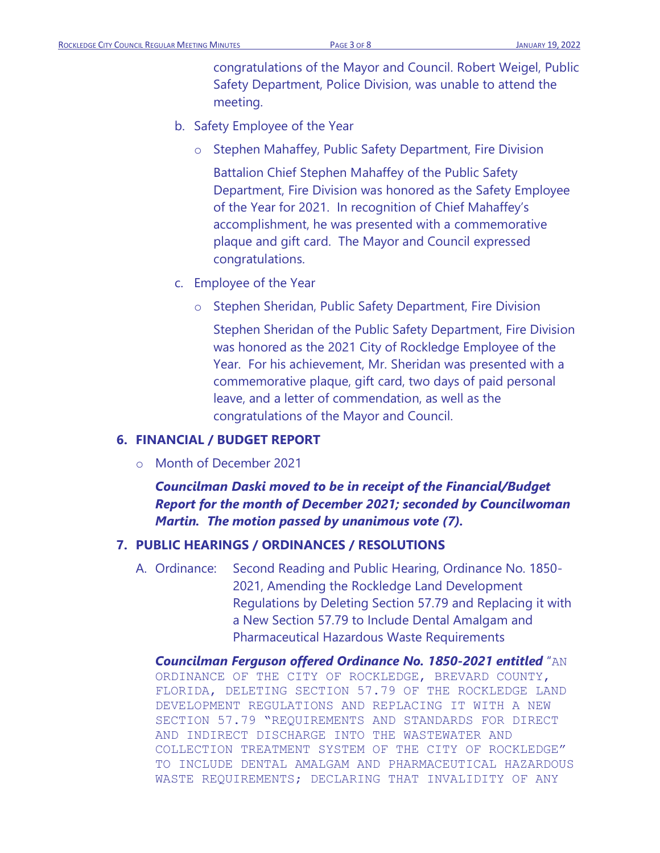congratulations of the Mayor and Council. Robert Weigel, Public Safety Department, Police Division, was unable to attend the meeting.

- b. Safety Employee of the Year
	- o Stephen Mahaffey, Public Safety Department, Fire Division

Battalion Chief Stephen Mahaffey of the Public Safety Department, Fire Division was honored as the Safety Employee of the Year for 2021. In recognition of Chief Mahaffey's accomplishment, he was presented with a commemorative plaque and gift card. The Mayor and Council expressed congratulations.

- c. Employee of the Year
	- o Stephen Sheridan, Public Safety Department, Fire Division

Stephen Sheridan of the Public Safety Department, Fire Division was honored as the 2021 City of Rockledge Employee of the Year. For his achievement, Mr. Sheridan was presented with a commemorative plaque, gift card, two days of paid personal leave, and a letter of commendation, as well as the congratulations of the Mayor and Council.

### **6. FINANCIAL / BUDGET REPORT**

o Month of December 2021

*Councilman Daski moved to be in receipt of the Financial/Budget Report for the month of December 2021; seconded by Councilwoman Martin. The motion passed by unanimous vote (7).*

#### **7. PUBLIC HEARINGS / ORDINANCES / RESOLUTIONS**

A. Ordinance: Second Reading and Public Hearing, Ordinance No. 1850- 2021, Amending the Rockledge Land Development Regulations by Deleting Section 57.79 and Replacing it with a New Section 57.79 to Include Dental Amalgam and Pharmaceutical Hazardous Waste Requirements

*Councilman Ferguson offered Ordinance No. 1850-2021 entitled* "AN ORDINANCE OF THE CITY OF ROCKLEDGE, BREVARD COUNTY, FLORIDA, DELETING SECTION 57.79 OF THE ROCKLEDGE LAND DEVELOPMENT REGULATIONS AND REPLACING IT WITH A NEW SECTION 57.79 "REQUIREMENTS AND STANDARDS FOR DIRECT AND INDIRECT DISCHARGE INTO THE WASTEWATER AND COLLECTION TREATMENT SYSTEM OF THE CITY OF ROCKLEDGE" TO INCLUDE DENTAL AMALGAM AND PHARMACEUTICAL HAZARDOUS WASTE REQUIREMENTS; DECLARING THAT INVALIDITY OF ANY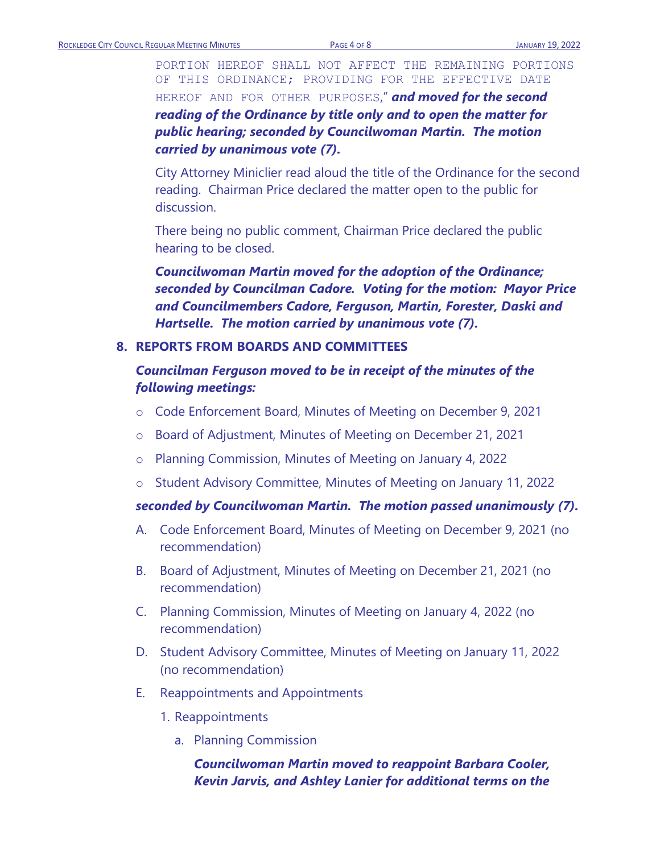PORTION HEREOF SHALL NOT AFFECT THE REMAINING PORTIONS OF THIS ORDINANCE; PROVIDING FOR THE EFFECTIVE DATE HEREOF AND FOR OTHER PURPOSES," *and moved for the second reading of the Ordinance by title only and to open the matter for public hearing; seconded by Councilwoman Martin. The motion* 

# *carried by unanimous vote (7).*

City Attorney Miniclier read aloud the title of the Ordinance for the second reading. Chairman Price declared the matter open to the public for discussion.

There being no public comment, Chairman Price declared the public hearing to be closed.

*Councilwoman Martin moved for the adoption of the Ordinance; seconded by Councilman Cadore. Voting for the motion: Mayor Price and Councilmembers Cadore, Ferguson, Martin, Forester, Daski and Hartselle. The motion carried by unanimous vote (7).*

### **8. REPORTS FROM BOARDS AND COMMITTEES**

# *Councilman Ferguson moved to be in receipt of the minutes of the following meetings:*

- o Code Enforcement Board, Minutes of Meeting on December 9, 2021
- o Board of Adjustment, Minutes of Meeting on December 21, 2021
- o Planning Commission, Minutes of Meeting on January 4, 2022
- o Student Advisory Committee, Minutes of Meeting on January 11, 2022

#### *seconded by Councilwoman Martin. The motion passed unanimously (7).*

- A. Code Enforcement Board, Minutes of Meeting on December 9, 2021 (no recommendation)
- B. Board of Adjustment, Minutes of Meeting on December 21, 2021 (no recommendation)
- C. Planning Commission, Minutes of Meeting on January 4, 2022 (no recommendation)
- D. Student Advisory Committee, Minutes of Meeting on January 11, 2022 (no recommendation)
- E. Reappointments and Appointments
	- 1. Reappointments
		- a. Planning Commission

# *Councilwoman Martin moved to reappoint Barbara Cooler, Kevin Jarvis, and Ashley Lanier for additional terms on the*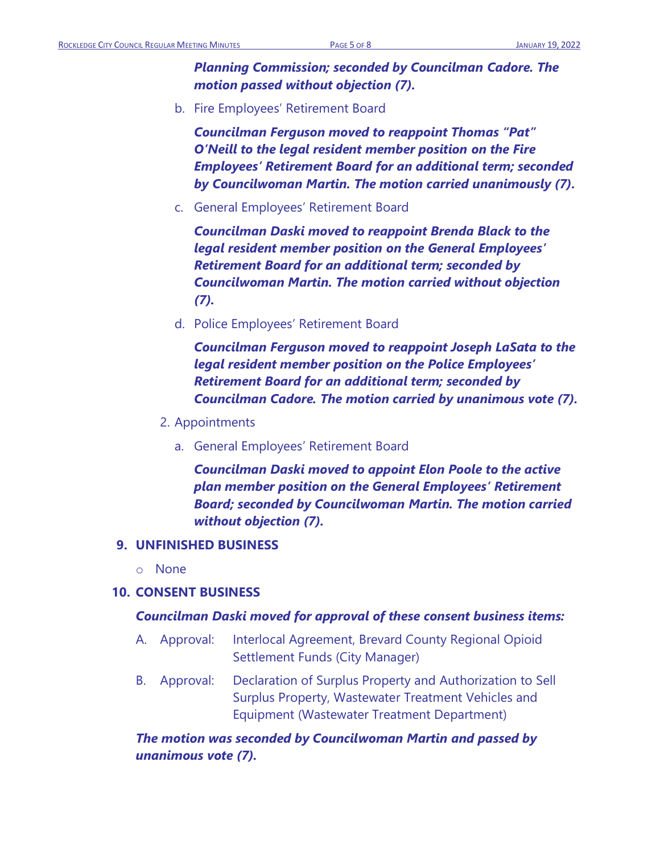*Planning Commission; seconded by Councilman Cadore. The motion passed without objection (7).* 

b. Fire Employees' Retirement Board

*Councilman Ferguson moved to reappoint Thomas "Pat" O'Neill to the legal resident member position on the Fire Employees' Retirement Board for an additional term; seconded by Councilwoman Martin. The motion carried unanimously (7).* 

c. General Employees' Retirement Board

*Councilman Daski moved to reappoint Brenda Black to the legal resident member position on the General Employees' Retirement Board for an additional term; seconded by Councilwoman Martin. The motion carried without objection (7).*

d. Police Employees' Retirement Board

*Councilman Ferguson moved to reappoint Joseph LaSata to the legal resident member position on the Police Employees' Retirement Board for an additional term; seconded by Councilman Cadore. The motion carried by unanimous vote (7).*

- 2. Appointments
	- a. General Employees' Retirement Board

*Councilman Daski moved to appoint Elon Poole to the active plan member position on the General Employees' Retirement Board; seconded by Councilwoman Martin. The motion carried without objection (7).*

# **9. UNFINISHED BUSINESS**

o None

# **10. CONSENT BUSINESS**

### *Councilman Daski moved for approval of these consent business items:*

- A. Approval: Interlocal Agreement, Brevard County Regional Opioid Settlement Funds (City Manager)
- B. Approval: Declaration of Surplus Property and Authorization to Sell Surplus Property, Wastewater Treatment Vehicles and Equipment (Wastewater Treatment Department)

*The motion was seconded by Councilwoman Martin and passed by unanimous vote (7).*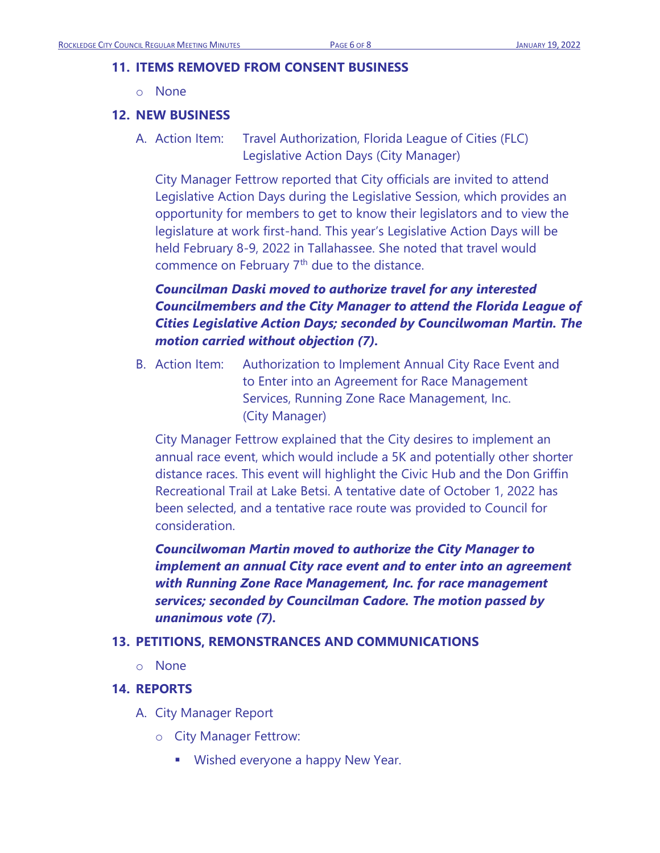### **11. ITEMS REMOVED FROM CONSENT BUSINESS**

o None

### **12. NEW BUSINESS**

A. Action Item: Travel Authorization, Florida League of Cities (FLC) Legislative Action Days (City Manager)

City Manager Fettrow reported that City officials are invited to attend Legislative Action Days during the Legislative Session, which provides an opportunity for members to get to know their legislators and to view the legislature at work first-hand. This year's Legislative Action Days will be held February 8-9, 2022 in Tallahassee. She noted that travel would commence on February 7<sup>th</sup> due to the distance.

# *Councilman Daski moved to authorize travel for any interested Councilmembers and the City Manager to attend the Florida League of Cities Legislative Action Days; seconded by Councilwoman Martin. The motion carried without objection (7).*

B. Action Item: Authorization to Implement Annual City Race Event and to Enter into an Agreement for Race Management Services, Running Zone Race Management, Inc. (City Manager)

City Manager Fettrow explained that the City desires to implement an annual race event, which would include a 5K and potentially other shorter distance races. This event will highlight the Civic Hub and the Don Griffin Recreational Trail at Lake Betsi. A tentative date of October 1, 2022 has been selected, and a tentative race route was provided to Council for consideration.

*Councilwoman Martin moved to authorize the City Manager to implement an annual City race event and to enter into an agreement with Running Zone Race Management, Inc. for race management services; seconded by Councilman Cadore. The motion passed by unanimous vote (7).*

### **13. PETITIONS, REMONSTRANCES AND COMMUNICATIONS**

o None

### **14. REPORTS**

- A. City Manager Report
	- o City Manager Fettrow:
		- Wished everyone a happy New Year.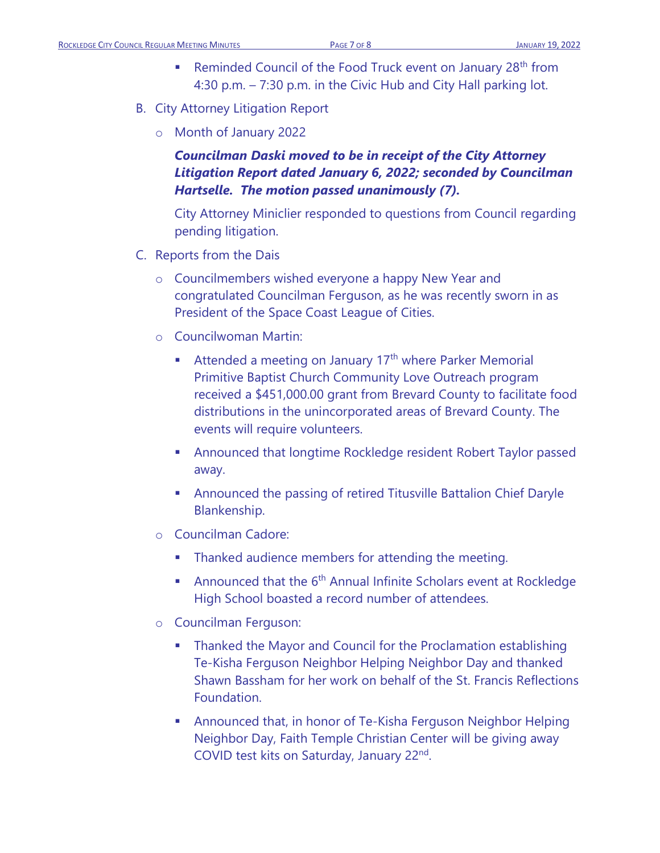- Reminded Council of the Food Truck event on January 28<sup>th</sup> from 4:30 p.m. – 7:30 p.m. in the Civic Hub and City Hall parking lot.
- B. City Attorney Litigation Report
	- o Month of January 2022

*Councilman Daski moved to be in receipt of the City Attorney Litigation Report dated January 6, 2022; seconded by Councilman Hartselle. The motion passed unanimously (7).*

City Attorney Miniclier responded to questions from Council regarding pending litigation.

- C. Reports from the Dais
	- o Councilmembers wished everyone a happy New Year and congratulated Councilman Ferguson, as he was recently sworn in as President of the Space Coast League of Cities.
	- o Councilwoman Martin:
		- **E** Attended a meeting on January  $17<sup>th</sup>$  where Parker Memorial Primitive Baptist Church Community Love Outreach program received a \$451,000.00 grant from Brevard County to facilitate food distributions in the unincorporated areas of Brevard County. The events will require volunteers.
		- Announced that longtime Rockledge resident Robert Taylor passed away.
		- **EXEDENT** Announced the passing of retired Titusville Battalion Chief Daryle Blankenship.
	- o Councilman Cadore:
		- **•** Thanked audience members for attending the meeting.
		- **•** Announced that the  $6<sup>th</sup>$  Annual Infinite Scholars event at Rockledge High School boasted a record number of attendees.
	- o Councilman Ferguson:
		- Thanked the Mayor and Council for the Proclamation establishing Te-Kisha Ferguson Neighbor Helping Neighbor Day and thanked Shawn Bassham for her work on behalf of the St. Francis Reflections Foundation.
		- Announced that, in honor of Te-Kisha Ferguson Neighbor Helping Neighbor Day, Faith Temple Christian Center will be giving away COVID test kits on Saturday, January 22<sup>nd</sup>.